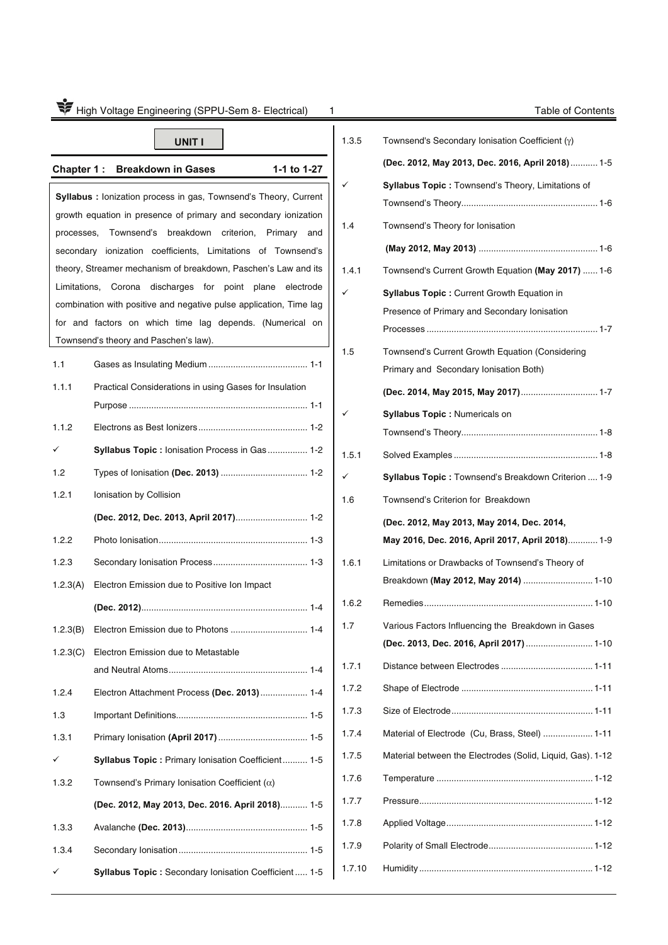| High Voltage Engineering (SPPU-Sem 8- Electrical)<br>Table of Contents<br>1 |                                                                                                                                                                                                                                                                                                                                                                                                                                                                                                                                                                                 |                                   |                                                                                                                                                                                                                                                   |  |
|-----------------------------------------------------------------------------|---------------------------------------------------------------------------------------------------------------------------------------------------------------------------------------------------------------------------------------------------------------------------------------------------------------------------------------------------------------------------------------------------------------------------------------------------------------------------------------------------------------------------------------------------------------------------------|-----------------------------------|---------------------------------------------------------------------------------------------------------------------------------------------------------------------------------------------------------------------------------------------------|--|
|                                                                             | <b>UNIT I</b>                                                                                                                                                                                                                                                                                                                                                                                                                                                                                                                                                                   | 1.3.5                             | Townsend's Secondary Ionisation Coefficient $(y)$                                                                                                                                                                                                 |  |
|                                                                             |                                                                                                                                                                                                                                                                                                                                                                                                                                                                                                                                                                                 |                                   | (Dec. 2012, May 2013, Dec. 2016, April 2018) 1-5                                                                                                                                                                                                  |  |
| Chapter 1:                                                                  | <b>Breakdown in Gases</b><br>1-1 to 1-27<br><b>Syllabus:</b> lonization process in gas, Townsend's Theory, Current<br>growth equation in presence of primary and secondary ionization<br>processes, Townsend's breakdown criterion, Primary and<br>secondary ionization coefficients, Limitations of Townsend's<br>theory, Streamer mechanism of breakdown, Paschen's Law and its<br>Limitations, Corona discharges for point plane electrode<br>combination with positive and negative pulse application, Time lag<br>for and factors on which time lag depends. (Numerical on | ✓<br>1.4<br>1.4.1<br>$\checkmark$ | <b>Syllabus Topic: Townsend's Theory, Limitations of</b><br>Townsend's Theory for Ionisation<br>Townsend's Current Growth Equation (May 2017)  1-6<br>Syllabus Topic : Current Growth Equation in<br>Presence of Primary and Secondary Ionisation |  |
|                                                                             | Townsend's theory and Paschen's law).                                                                                                                                                                                                                                                                                                                                                                                                                                                                                                                                           |                                   |                                                                                                                                                                                                                                                   |  |
| 1.1                                                                         |                                                                                                                                                                                                                                                                                                                                                                                                                                                                                                                                                                                 | 1.5                               | Townsend's Current Growth Equation (Considering<br>Primary and Secondary Ionisation Both)                                                                                                                                                         |  |
| 1.1.1                                                                       | Practical Considerations in using Gases for Insulation                                                                                                                                                                                                                                                                                                                                                                                                                                                                                                                          |                                   | (Dec. 2014, May 2015, May 2017) 1-7                                                                                                                                                                                                               |  |
| 1.1.2                                                                       |                                                                                                                                                                                                                                                                                                                                                                                                                                                                                                                                                                                 | $\checkmark$                      | Syllabus Topic : Numericals on                                                                                                                                                                                                                    |  |
| ✓                                                                           | Syllabus Topic: lonisation Process in Gas  1-2                                                                                                                                                                                                                                                                                                                                                                                                                                                                                                                                  | 1.5.1                             |                                                                                                                                                                                                                                                   |  |
| 1.2                                                                         |                                                                                                                                                                                                                                                                                                                                                                                                                                                                                                                                                                                 | ✓                                 | Syllabus Topic: Townsend's Breakdown Criterion  1-9                                                                                                                                                                                               |  |
| 1.2.1                                                                       | Ionisation by Collision                                                                                                                                                                                                                                                                                                                                                                                                                                                                                                                                                         | 1.6                               | Townsend's Criterion for Breakdown                                                                                                                                                                                                                |  |
|                                                                             | (Dec. 2012, Dec. 2013, April 2017) 1-2                                                                                                                                                                                                                                                                                                                                                                                                                                                                                                                                          |                                   | (Dec. 2012, May 2013, May 2014, Dec. 2014,                                                                                                                                                                                                        |  |
| 1.2.2                                                                       |                                                                                                                                                                                                                                                                                                                                                                                                                                                                                                                                                                                 |                                   | May 2016, Dec. 2016, April 2017, April 2018) 1-9                                                                                                                                                                                                  |  |
| 1.2.3                                                                       |                                                                                                                                                                                                                                                                                                                                                                                                                                                                                                                                                                                 | 1.6.1                             | Limitations or Drawbacks of Townsend's Theory of                                                                                                                                                                                                  |  |
| 1.2.3(A)                                                                    | Electron Emission due to Positive Ion Impact                                                                                                                                                                                                                                                                                                                                                                                                                                                                                                                                    |                                   | Breakdown (May 2012, May 2014)  1-10                                                                                                                                                                                                              |  |
|                                                                             |                                                                                                                                                                                                                                                                                                                                                                                                                                                                                                                                                                                 | 1.6.2                             |                                                                                                                                                                                                                                                   |  |
| 1.2.3(B)                                                                    |                                                                                                                                                                                                                                                                                                                                                                                                                                                                                                                                                                                 | 1.7                               | Various Factors Influencing the Breakdown in Gases                                                                                                                                                                                                |  |
| 1.2.3(C)                                                                    | Electron Emission due to Metastable                                                                                                                                                                                                                                                                                                                                                                                                                                                                                                                                             |                                   | (Dec. 2013, Dec. 2016, April 2017)  1-10                                                                                                                                                                                                          |  |
|                                                                             |                                                                                                                                                                                                                                                                                                                                                                                                                                                                                                                                                                                 | 1.7.1                             |                                                                                                                                                                                                                                                   |  |
| 1.2.4                                                                       | Electron Attachment Process (Dec. 2013)  1-4                                                                                                                                                                                                                                                                                                                                                                                                                                                                                                                                    | 1.7.2                             |                                                                                                                                                                                                                                                   |  |
| 1.3                                                                         |                                                                                                                                                                                                                                                                                                                                                                                                                                                                                                                                                                                 | 1.7.3                             |                                                                                                                                                                                                                                                   |  |
| 1.3.1                                                                       |                                                                                                                                                                                                                                                                                                                                                                                                                                                                                                                                                                                 | 1.7.4                             | Material of Electrode (Cu, Brass, Steel)  1-11                                                                                                                                                                                                    |  |
| ✓                                                                           | Syllabus Topic: Primary Ionisation Coefficient 1-5                                                                                                                                                                                                                                                                                                                                                                                                                                                                                                                              | 1.7.5                             | Material between the Electrodes (Solid, Liquid, Gas). 1-12                                                                                                                                                                                        |  |
| 1.3.2                                                                       | Townsend's Primary Ionisation Coefficient $(\alpha)$                                                                                                                                                                                                                                                                                                                                                                                                                                                                                                                            | 1.7.6                             |                                                                                                                                                                                                                                                   |  |
|                                                                             | (Dec. 2012, May 2013, Dec. 2016. April 2018) 1-5                                                                                                                                                                                                                                                                                                                                                                                                                                                                                                                                | 1.7.7                             |                                                                                                                                                                                                                                                   |  |
| 1.3.3                                                                       |                                                                                                                                                                                                                                                                                                                                                                                                                                                                                                                                                                                 | 1.7.8                             |                                                                                                                                                                                                                                                   |  |
| 1.3.4                                                                       |                                                                                                                                                                                                                                                                                                                                                                                                                                                                                                                                                                                 | 1.7.9                             |                                                                                                                                                                                                                                                   |  |
|                                                                             | Syllabus Topic: Secondary Ionisation Coefficient  1-5                                                                                                                                                                                                                                                                                                                                                                                                                                                                                                                           | 1.7.10                            |                                                                                                                                                                                                                                                   |  |
|                                                                             |                                                                                                                                                                                                                                                                                                                                                                                                                                                                                                                                                                                 |                                   |                                                                                                                                                                                                                                                   |  |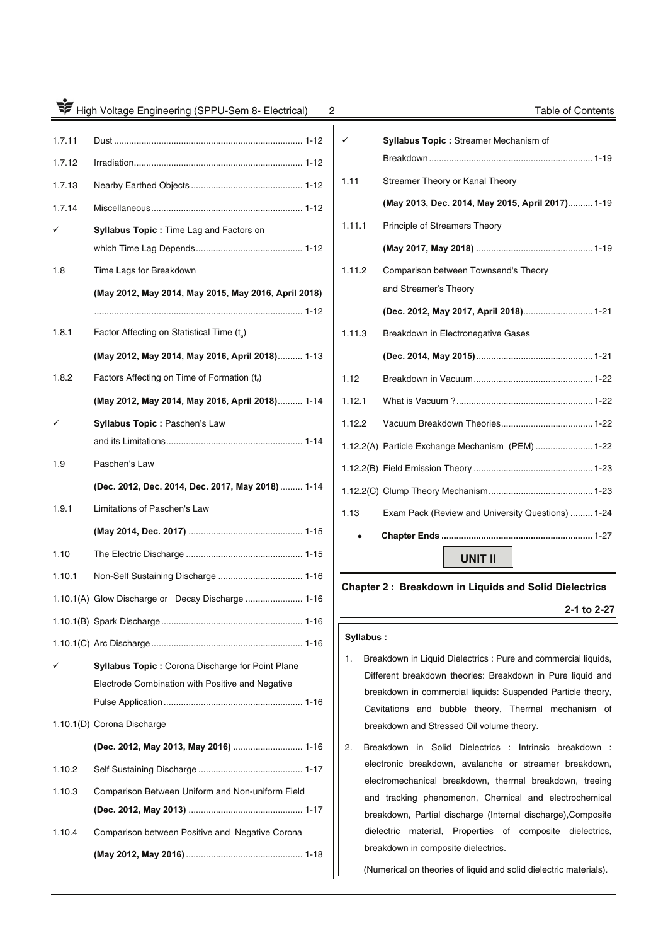| High Voltage Engineering (SPPU-Sem 8- Electrical)<br>Table of Contents<br>2 |                                                         |           |                                                                                                                           |  |
|-----------------------------------------------------------------------------|---------------------------------------------------------|-----------|---------------------------------------------------------------------------------------------------------------------------|--|
| 1.7.11                                                                      |                                                         | ✓         | Syllabus Topic : Streamer Mechanism of                                                                                    |  |
| 1.7.12                                                                      |                                                         | 1.11      | Streamer Theory or Kanal Theory                                                                                           |  |
| 1.7.13                                                                      |                                                         |           | (May 2013, Dec. 2014, May 2015, April 2017) 1-19                                                                          |  |
| 1.7.14                                                                      |                                                         |           | Principle of Streamers Theory                                                                                             |  |
|                                                                             | <b>Syllabus Topic: Time Lag and Factors on</b>          | 1.11.1    |                                                                                                                           |  |
|                                                                             |                                                         |           |                                                                                                                           |  |
| 1.8                                                                         | Time Lags for Breakdown                                 | 1.11.2    | Comparison between Townsend's Theory<br>and Streamer's Theory                                                             |  |
|                                                                             | (May 2012, May 2014, May 2015, May 2016, April 2018)    |           |                                                                                                                           |  |
|                                                                             |                                                         |           | (Dec. 2012, May 2017, April 2018) 1-21                                                                                    |  |
| 1.8.1                                                                       | Factor Affecting on Statistical Time (ts)               | 1.11.3    | Breakdown in Electronegative Gases                                                                                        |  |
|                                                                             | (May 2012, May 2014, May 2016, April 2018) 1-13         |           |                                                                                                                           |  |
| 1.8.2                                                                       | Factors Affecting on Time of Formation $(t_f)$          | 1.12      |                                                                                                                           |  |
|                                                                             | (May 2012, May 2014, May 2016, April 2018) 1-14         | 1.12.1    |                                                                                                                           |  |
| ✓                                                                           | Syllabus Topic: Paschen's Law                           | 1.12.2    |                                                                                                                           |  |
|                                                                             |                                                         |           | 1.12.2(A) Particle Exchange Mechanism (PEM)  1-22                                                                         |  |
| 1.9                                                                         | Paschen's Law                                           |           |                                                                                                                           |  |
|                                                                             | (Dec. 2012, Dec. 2014, Dec. 2017, May 2018)  1-14       |           |                                                                                                                           |  |
| 1.9.1                                                                       | Limitations of Paschen's Law                            | 1.13      | Exam Pack (Review and University Questions)  1-24                                                                         |  |
|                                                                             |                                                         |           |                                                                                                                           |  |
| 1.10                                                                        |                                                         |           | <b>UNIT II</b>                                                                                                            |  |
| 1.10.1                                                                      |                                                         |           | <b>Chapter 2: Breakdown in Liquids and Solid Dielectrics</b>                                                              |  |
|                                                                             | 1.10.1(A) Glow Discharge or Decay Discharge  1-16       |           |                                                                                                                           |  |
|                                                                             |                                                         |           | 2-1 to 2-27                                                                                                               |  |
|                                                                             |                                                         | Syllabus: |                                                                                                                           |  |
|                                                                             | <b>Syllabus Topic: Corona Discharge for Point Plane</b> | 1.        | Breakdown in Liquid Dielectrics : Pure and commercial liquids,                                                            |  |
|                                                                             | Electrode Combination with Positive and Negative        |           | Different breakdown theories: Breakdown in Pure liquid and<br>breakdown in commercial liquids: Suspended Particle theory, |  |
|                                                                             |                                                         |           | Cavitations and bubble theory, Thermal mechanism of                                                                       |  |
|                                                                             | 1.10.1(D) Corona Discharge                              |           | breakdown and Stressed Oil volume theory.                                                                                 |  |
|                                                                             | (Dec. 2012, May 2013, May 2016)  1-16                   | 2.        | Breakdown in Solid Dielectrics : Intrinsic breakdown :                                                                    |  |
| 1.10.2                                                                      |                                                         |           | electronic breakdown, avalanche or streamer breakdown,                                                                    |  |
| 1.10.3                                                                      | Comparison Between Uniform and Non-uniform Field        |           | electromechanical breakdown, thermal breakdown, treeing<br>and tracking phenomenon, Chemical and electrochemical          |  |
|                                                                             |                                                         |           | breakdown, Partial discharge (Internal discharge), Composite                                                              |  |
| 1.10.4                                                                      | Comparison between Positive and Negative Corona         |           | dielectric material, Properties of composite dielectrics,                                                                 |  |
|                                                                             |                                                         |           | breakdown in composite dielectrics.                                                                                       |  |

| ✓      | Syllabus Topic: Streamer Mechanism of             |
|--------|---------------------------------------------------|
|        |                                                   |
| 1.11   | Streamer Theory or Kanal Theory                   |
|        | (May 2013, Dec. 2014, May 2015, April 2017) 1-19  |
| 1.11.1 | Principle of Streamers Theory                     |
|        |                                                   |
| 1.11.2 | Comparison between Townsend's Theory              |
|        | and Streamer's Theory                             |
|        | (Dec. 2012, May 2017, April 2018) 1-21            |
| 1.11.3 | Breakdown in Electronegative Gases                |
|        |                                                   |
| 1.12   |                                                   |
| 1.12.1 |                                                   |
| 1.12.2 |                                                   |
|        | 1.12.2(A) Particle Exchange Mechanism (PEM)  1-22 |
|        |                                                   |
|        |                                                   |
| 1.13   | Exam Pack (Review and University Questions)  1-24 |
|        |                                                   |
|        | UNIT II                                           |

# **Chapter 2 : Breakdown in Liquids and Solid Dielectrics**

# **2-1 to 2-27**

### **Syllabus :**

- 1. Breakdown in Liquid Dielectrics : Pure and commercial liquids, Different breakdown theories: Breakdown in Pure liquid and breakdown in commercial liquids: Suspended Particle theory, Cavitations and bubble theory, Thermal mechanism of breakdown and Stressed Oil volume theory.
- 2. Breakdown in Solid Dielectrics : Intrinsic breakdown : electronic breakdown, avalanche or streamer breakdown, electromechanical breakdown, thermal breakdown, treeing and tracking phenomenon, Chemical and electrochemical breakdown, Partial discharge (Internal discharge),Composite dielectric material, Properties of composite dielectrics, breakdown in composite dielectrics.

(Numerical on theories of liquid and solid dielectric materials).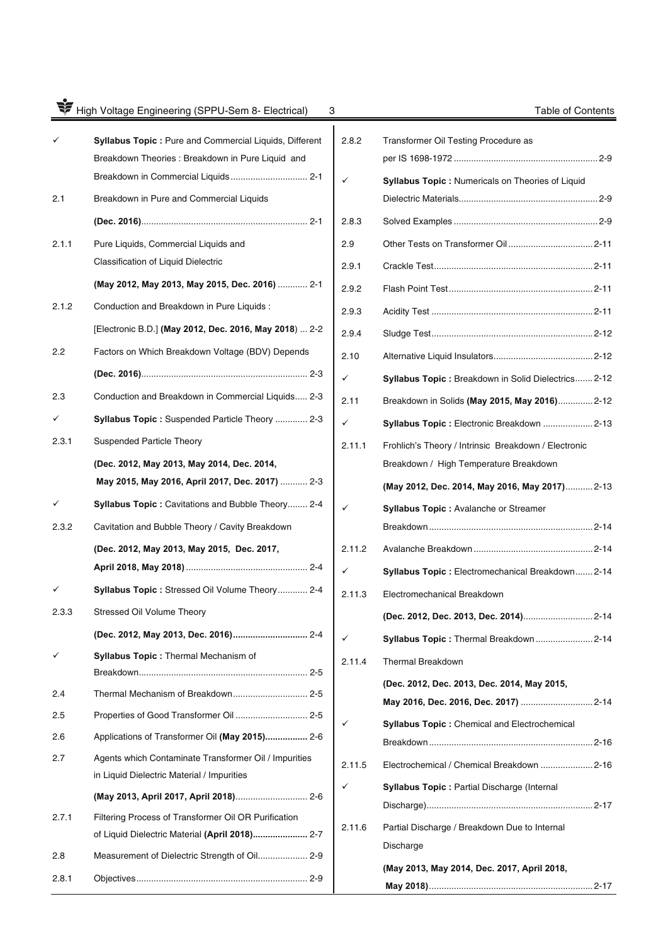# High Voltage Engineering (SPPU-Sem 8- Electrical) 3 Table of Contents

|       | Syllabus Topic: Pure and Commercial Liquids, Different<br>Breakdown Theories : Breakdown in Pure Liquid and<br>Breakdown in Commercial Liquids 2-1 |
|-------|----------------------------------------------------------------------------------------------------------------------------------------------------|
| 2.1   | Breakdown in Pure and Commercial Liquids                                                                                                           |
|       |                                                                                                                                                    |
| 2.1.1 | Pure Liquids, Commercial Liquids and<br>Classification of Liquid Dielectric                                                                        |
|       | (May 2012, May 2013, May 2015, Dec. 2016)  2-1                                                                                                     |
| 2.1.2 | Conduction and Breakdown in Pure Liquids :                                                                                                         |
|       | [Electronic B.D.] (May 2012, Dec. 2016, May 2018)  2-2                                                                                             |
| 2.2   | Factors on Which Breakdown Voltage (BDV) Depends                                                                                                   |
|       |                                                                                                                                                    |
| 2.3   | Conduction and Breakdown in Commercial Liquids 2-3                                                                                                 |
|       | Syllabus Topic: Suspended Particle Theory  2-3                                                                                                     |
| 2.3.1 | <b>Suspended Particle Theory</b>                                                                                                                   |
|       | (Dec. 2012, May 2013, May 2014, Dec. 2014,                                                                                                         |
|       | May 2015, May 2016, April 2017, Dec. 2017)  2-3                                                                                                    |
|       | Syllabus Topic: Cavitations and Bubble Theory 2-4                                                                                                  |
| 2.3.2 | Cavitation and Bubble Theory / Cavity Breakdown                                                                                                    |
|       | (Dec. 2012, May 2013, May 2015, Dec. 2017,                                                                                                         |
|       |                                                                                                                                                    |
|       | <b>Syllabus Topic: Stressed Oil Volume Theory 2-4</b>                                                                                              |
| 2.3.3 | Stressed Oil Volume Theory                                                                                                                         |
|       | (Dec. 2012, May 2013, Dec. 2016) 2-4                                                                                                               |
|       | Syllabus Topic: Thermal Mechanism of                                                                                                               |
| 2.4   | Thermal Mechanism of Breakdown 2-5                                                                                                                 |
| 2.5   | Properties of Good Transformer Oil  2-5                                                                                                            |
| 2.6   | Applications of Transformer Oil (May 2015) 2-6                                                                                                     |
| 2.7   | Agents which Contaminate Transformer Oil / Impurities<br>in Liquid Dielectric Material / Impurities                                                |
|       | (May 2013, April 2017, April 2018) 2-6                                                                                                             |
| 2.7.1 | Filtering Process of Transformer Oil OR Purification<br>of Liquid Dielectric Material (April 2018) 2-7                                             |
| 2.8   | Measurement of Dielectric Strength of Oil 2-9                                                                                                      |
| 2.8.1 |                                                                                                                                                    |

| 2.8.2  | Transformer Oil Testing Procedure as                 |
|--------|------------------------------------------------------|
|        | Syllabus Topic : Numericals on Theories of Liquid    |
|        |                                                      |
| 2.8.3  |                                                      |
| 2.9    |                                                      |
| 2.9.1  |                                                      |
| 2.9.2  |                                                      |
| 2.9.3  |                                                      |
| 2.9.4  |                                                      |
| 2.10   |                                                      |
| ✓      | Syllabus Topic: Breakdown in Solid Dielectrics 2-12  |
| 2.11   | Breakdown in Solids (May 2015, May 2016) 2-12        |
| ✓      | Syllabus Topic: Electronic Breakdown  2-13           |
| 2.11.1 | Frohlich's Theory / Intrinsic Breakdown / Electronic |
|        | Breakdown / High Temperature Breakdown               |
|        | (May 2012, Dec. 2014, May 2016, May 2017) 2-13       |
|        | Syllabus Topic : Avalanche or Streamer               |
|        |                                                      |
| 2.11.2 |                                                      |
|        | Syllabus Topic: Electromechanical Breakdown 2-14     |
| 2.11.3 | Electromechanical Breakdown                          |
|        | (Dec. 2012, Dec. 2013, Dec. 2014) 2-14               |
|        | Syllabus Topic: Thermal Breakdown 2-14               |
| 2.11.4 | <b>Thermal Breakdown</b>                             |
|        | (Dec. 2012, Dec. 2013, Dec. 2014, May 2015,          |
|        | May 2016, Dec. 2016, Dec. 2017)  2-14                |
|        | <b>Syllabus Topic: Chemical and Electrochemical</b>  |
|        |                                                      |
| 2.11.5 | Electrochemical / Chemical Breakdown  2-16           |
|        | <b>Syllabus Topic: Partial Discharge (Internal</b>   |
|        |                                                      |
| 2.11.6 | Partial Discharge / Breakdown Due to Internal        |
|        | Discharge                                            |
|        | (May 2013, May 2014, Dec. 2017, April 2018,          |
|        |                                                      |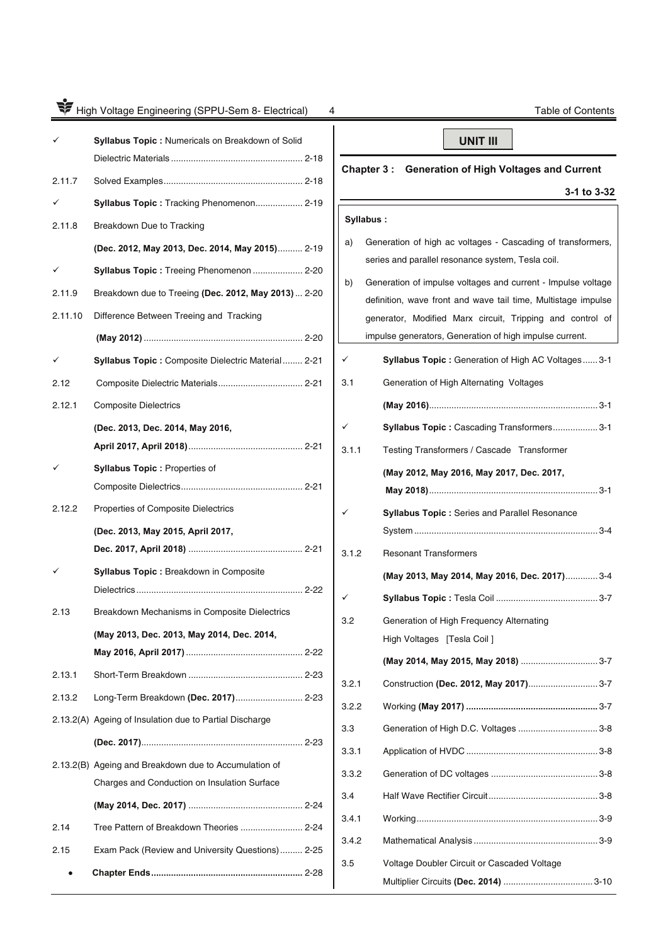|         | High Voltage Engineering (SPPU-Sem 8- Electrical)<br>4  |              | <b>Table of Contents</b>                                      |
|---------|---------------------------------------------------------|--------------|---------------------------------------------------------------|
|         | Syllabus Topic : Numericals on Breakdown of Solid       |              | <b>UNIT III</b>                                               |
| 2.11.7  |                                                         | Chapter 3:   | <b>Generation of High Voltages and Current</b>                |
|         | Syllabus Topic: Tracking Phenomenon 2-19                |              | 3-1 to 3-32                                                   |
| 2.11.8  | Breakdown Due to Tracking                               | Syllabus:    |                                                               |
|         |                                                         | a)           | Generation of high ac voltages - Cascading of transformers,   |
|         | (Dec. 2012, May 2013, Dec. 2014, May 2015) 2-19         |              | series and parallel resonance system, Tesla coil.             |
|         | Syllabus Topic: Treeing Phenomenon  2-20                | b)           | Generation of impulse voltages and current - Impulse voltage  |
| 2.11.9  | Breakdown due to Treeing (Dec. 2012, May 2013)  2-20    |              | definition, wave front and wave tail time, Multistage impulse |
| 2.11.10 | Difference Between Treeing and Tracking                 |              | generator, Modified Marx circuit, Tripping and control of     |
|         |                                                         |              | impulse generators, Generation of high impulse current.       |
|         | Syllabus Topic: Composite Dielectric Material 2-21      | ✓            | Syllabus Topic: Generation of High AC Voltages 3-1            |
| 2.12    |                                                         | 3.1          | Generation of High Alternating Voltages                       |
| 2.12.1  | <b>Composite Dielectrics</b>                            |              |                                                               |
|         | (Dec. 2013, Dec. 2014, May 2016,                        | $\checkmark$ | Syllabus Topic: Cascading Transformers 3-1                    |
|         |                                                         | 3.1.1        | Testing Transformers / Cascade Transformer                    |
|         | <b>Syllabus Topic: Properties of</b>                    |              | (May 2012, May 2016, May 2017, Dec. 2017,                     |
|         |                                                         |              |                                                               |
| 2.12.2  | Properties of Composite Dielectrics                     | ✓            | Syllabus Topic : Series and Parallel Resonance                |
|         | (Dec. 2013, May 2015, April 2017,                       |              |                                                               |
|         |                                                         | 3.1.2        | <b>Resonant Transformers</b>                                  |
|         | Syllabus Topic : Breakdown in Composite                 |              | (May 2013, May 2014, May 2016, Dec. 2017) 3-4                 |
|         |                                                         | ✓            |                                                               |
| 2.13    | Breakdown Mechanisms in Composite Dielectrics           | 3.2          | Generation of High Frequency Alternating                      |
|         | (May 2013, Dec. 2013, May 2014, Dec. 2014,              |              | High Voltages [Tesla Coil]                                    |
|         |                                                         |              | (May 2014, May 2015, May 2018) 3-7                            |
| 2.13.1  |                                                         | 3.2.1        | Construction (Dec. 2012, May 2017) 3-7                        |
| 2.13.2  | Long-Term Breakdown (Dec. 2017) 2-23                    | 3.2.2        |                                                               |
|         | 2.13.2(A) Ageing of Insulation due to Partial Discharge | 3.3          | Generation of High D.C. Voltages  3-8                         |
|         |                                                         | 3.3.1        |                                                               |
|         | 2.13.2(B) Ageing and Breakdown due to Accumulation of   | 3.3.2        |                                                               |
|         | Charges and Conduction on Insulation Surface            | 3.4          |                                                               |
|         |                                                         | 3.4.1        |                                                               |
| 2.14    | Tree Pattern of Breakdown Theories  2-24                | 3.4.2        |                                                               |
| 2.15    | Exam Pack (Review and University Questions) 2-25        |              |                                                               |
|         |                                                         | 3.5          | Voltage Doubler Circuit or Cascaded Voltage                   |
|         |                                                         |              |                                                               |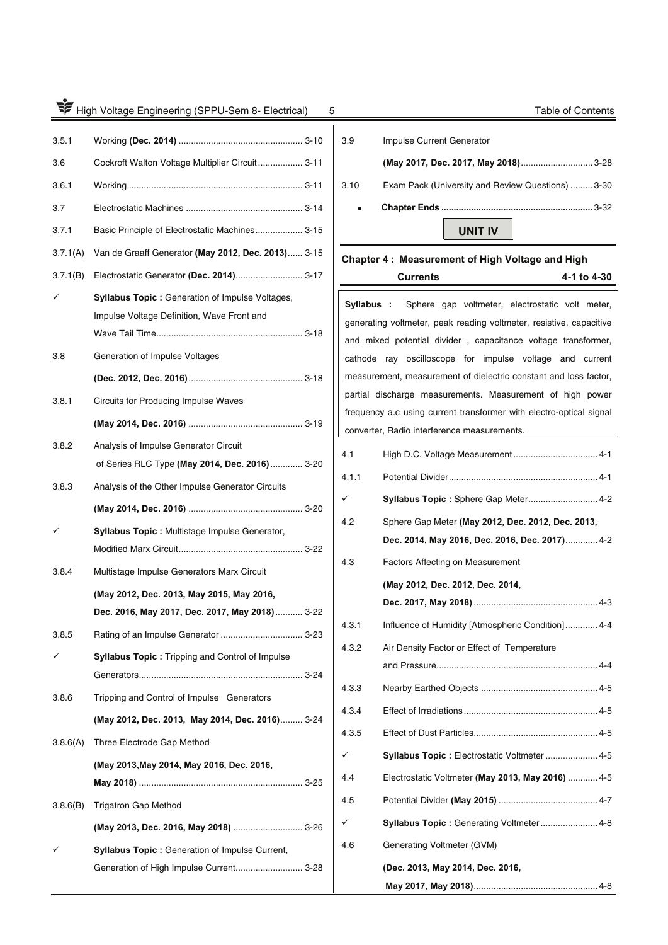| 3.5.1 |                                                 |
|-------|-------------------------------------------------|
| 3.6   | Cockroft Walton Voltage Multiplier Circuit 3-11 |
| 3.6.1 |                                                 |
| 3.7   |                                                 |
| 3.7.1 | Basic Principle of Electrostatic Machines 3-15  |

3.7.1(A) Van de Graaff Generator **(May 2012, Dec. 2013)** ...... 3-15

- 3.7.1(B) Electrostatic Generator **(Dec. 2014)**........................... 3-17  $\checkmark$  **Syllabus Topic :** Generation of Impulse Voltages, Impulse Voltage Definition, Wave Front and Wave Tail Time ........................................................... 3-18 3.8 Generation of Impulse Voltages **(Dec. 2012, Dec. 2016)** .............................................. 3-18 3.8.1 Circuits for Producing Impulse Waves **(May 2014, Dec. 2016)** .............................................. 3-19 3.8.2 Analysis of Impulse Generator Circuit
- of Series RLC Type **(May 2014, Dec. 2016)** ............. 3-20 3.8.3 Analysis of the Other Impulse Generator Circuits **(May 2014, Dec. 2016)** .............................................. 3-20  $\checkmark$ **Syllabus Topic :** Multistage Impulse Generator,
- Modified Marx Circuit .................................................. 3-22 3.8.4 Multistage Impulse Generators Marx Circuit **(May 2012, Dec. 2013, May 2015, May 2016,**
- **Dec. 2016, May 2017, Dec. 2017, May 2018)** ........... 3-22 3.8.5 Rating of an Impulse Generator ................................. 3-23
- $\checkmark$ **Syllabus Topic : Tripping and Control of Impulse** Generators .................................................................. 3-24
- 3.8.6 Tripping and Control of Impulse Generators **(May 2012, Dec. 2013, May 2014, Dec. 2016)** ......... 3-24
- 3.8.6(A) Three Electrode Gap Method **(May 2013,May 2014, May 2016, Dec. 2016, May 2018)** .................................................................. 3-25
- 3.8.6(B) Trigatron Gap Method **(May 2013, Dec. 2016, May 2018)** ............................ 3-26  $\checkmark$  **Syllabus Topic :** Generation of Impulse Current, Generation of High Impulse Current............................... 3-28

**W** High Voltage Engineering (SPPU-Sem 8- Electrical) 5 Seminary 19th Contents 3.9 Impulse Current Generator **(May 2017, Dec. 2017, May 2018)** ............................. 3-28 3.10 Exam Pack (University and Review Questions) ......... 3-30  **Chapter Ends .............................................................** 3-32 **UNIT IV** 

### **Chapter 4 : Measurement of High Voltage and High**

**Currents 4-1 to 4-30 Syllabus :** Sphere gap voltmeter, electrostatic volt meter, generating voltmeter, peak reading voltmeter, resistive, capacitive and mixed potential divider , capacitance voltage transformer, cathode ray oscilloscope for impulse voltage and current measurement, measurement of dielectric constant and loss factor, partial discharge measurements. Measurement of high power frequency a.c using current transformer with electro-optical signal converter, Radio interference measurements. 4.1 High D.C. Voltage Measurement .................................. 4-1 4.1.1 Potential Divider ............................................................ 4-1  $\checkmark$ **Syllabus Topic : Sphere Gap Meter............................ 4-2** 4.2 Sphere Gap Meter **(May 2012, Dec. 2012, Dec. 2013, Dec. 2014, May 2016, Dec. 2016, Dec. 2017)** ............. 4-2 4.3 Factors Affecting on Measurement **(May 2012, Dec. 2012, Dec. 2014, Dec. 2017, May 2018)** .................................................. 4-3 4.3.1 Influence of Humidity [Atmospheric Condition] ............. 4-4 4.3.2 Air Density Factor or Effect of Temperature and Pressure ................................................................. 4-4 4.3.3 Nearby Earthed Objects ............................................... 4-5 4.3.4 Effect of Irradiations ...................................................... 4-5 4.3.5 Effect of Dust Particles .................................................. 4-5  $\checkmark$  **Syllabus Topic :** Electrostatic Voltmeter ..................... 4-5 4.4 Electrostatic Voltmeter **(May 2013, May 2016)** ............ 4-5 4.5 Potential Divider **(May 2015)** ........................................ 4-7  $\checkmark$  **Syllabus Topic :** Generating Voltmeter ....................... 4-8 4.6 Generating Voltmeter (GVM) **(Dec. 2013, May 2014, Dec. 2016, May 2017, May 2018)** .................................................. 4-8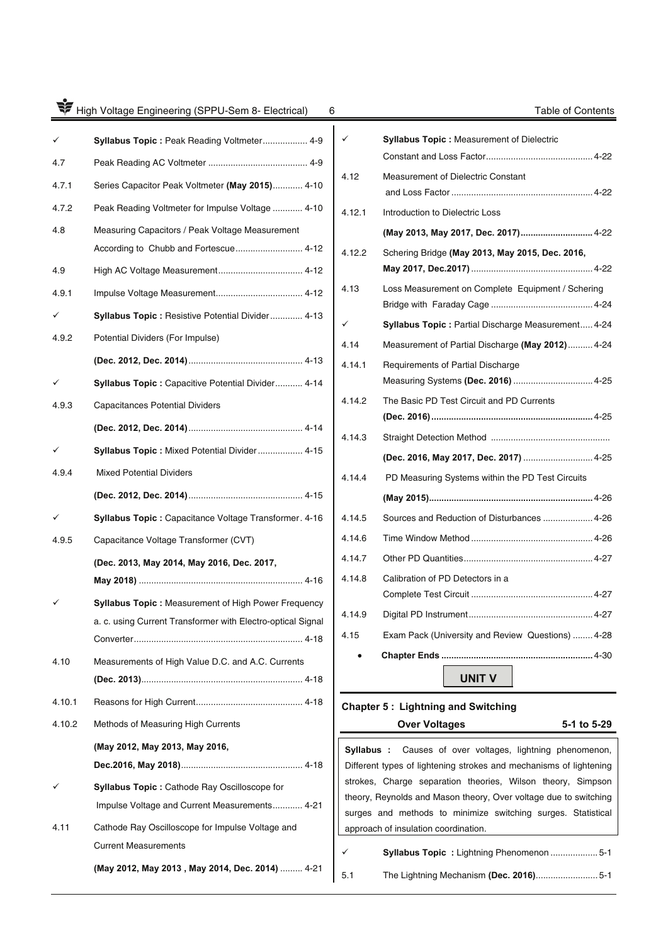|        | High Voltage Engineering (SPPU-Sem 8- Electrical)<br>6                                               |
|--------|------------------------------------------------------------------------------------------------------|
|        | Syllabus Topic: Peak Reading Voltmeter 4-9                                                           |
| 4.7    |                                                                                                      |
| 4.7.1  | Series Capacitor Peak Voltmeter (May 2015) 4-10                                                      |
| 4.7.2  | Peak Reading Voltmeter for Impulse Voltage  4-10                                                     |
| 4.8    | Measuring Capacitors / Peak Voltage Measurement<br>According to Chubb and Fortescue 4-12             |
| 4.9    |                                                                                                      |
| 4.9.1  |                                                                                                      |
| ✓      | Syllabus Topic: Resistive Potential Divider 4-13                                                     |
| 4.9.2  | Potential Dividers (For Impulse)                                                                     |
|        |                                                                                                      |
|        | Syllabus Topic: Capacitive Potential Divider 4-14                                                    |
| 4.9.3  | <b>Capacitances Potential Dividers</b>                                                               |
|        |                                                                                                      |
|        | Syllabus Topic: Mixed Potential Divider 4-15                                                         |
| 4.9.4  | <b>Mixed Potential Dividers</b>                                                                      |
|        |                                                                                                      |
|        | Syllabus Topic: Capacitance Voltage Transformer. 4-16                                                |
| 4.9.5  | Capacitance Voltage Transformer (CVT)                                                                |
|        | (Dec. 2013, May 2014, May 2016, Dec. 2017,                                                           |
|        | Syllabus Topic: Measurement of High Power Frequency                                                  |
|        | a. c. using Current Transformer with Electro-optical Signal                                          |
| 4.10   | Measurements of High Value D.C. and A.C. Currents                                                    |
|        |                                                                                                      |
| 4.10.1 |                                                                                                      |
| 4.10.2 | Methods of Measuring High Currents                                                                   |
|        | (May 2012, May 2013, May 2016,                                                                       |
|        | <b>Syllabus Topic:</b> Cathode Ray Oscilloscope for<br>Impulse Voltage and Current Measurements 4-21 |
| 4.11   | Cathode Ray Oscilloscope for Impulse Voltage and<br><b>Current Measurements</b>                      |
|        | (May 2012, May 2013, May 2014, Dec. 2014)  4-21                                                      |

|        | <b>Syllabus Topic:</b> Measurement of Dielectric                         |
|--------|--------------------------------------------------------------------------|
| 4.12   | Measurement of Dielectric Constant                                       |
| 4.12.1 | Introduction to Dielectric Loss                                          |
|        | (May 2013, May 2017, Dec. 2017) 4-22                                     |
| 4.12.2 | Schering Bridge (May 2013, May 2015, Dec. 2016,                          |
| 4.13   | Loss Measurement on Complete Equipment / Schering                        |
|        | Syllabus Topic : Partial Discharge Measurement 4-24                      |
| 4.14   | Measurement of Partial Discharge (May 2012) 4-24                         |
| 4.14.1 | Requirements of Partial Discharge<br>Measuring Systems (Dec. 2016)  4-25 |
| 4.14.2 | The Basic PD Test Circuit and PD Currents                                |
| 4.14.3 |                                                                          |
|        | (Dec. 2016, May 2017, Dec. 2017)  4-25                                   |
| 4.14.4 | PD Measuring Systems within the PD Test Circuits                         |
|        |                                                                          |
| 4.14.5 | Sources and Reduction of Disturbances  4-26                              |
| 4.14.6 |                                                                          |
| 4.14.7 |                                                                          |
| 4.14.8 | Calibration of PD Detectors in a                                         |
| 4.14.9 |                                                                          |
| 4.15   | Exam Pack (University and Review Questions)  4-28                        |
|        |                                                                          |
|        | <b>UNIT V</b>                                                            |

# **Chapter 5 : Lightning and Switching**

**Over Voltages 5-1 to 5-29**

| <b>Syllabus</b> : Causes of over voltages, lightning phenomenon,   |
|--------------------------------------------------------------------|
| Different types of lightening strokes and mechanisms of lightening |
| strokes, Charge separation theories, Wilson theory, Simpson        |
| theory, Reynolds and Mason theory, Over voltage due to switching   |
| surges and methods to minimize switching surges. Statistical       |
| approach of insulation coordination.                               |

| ✓   | <b>Syllabus Topic: Lightning Phenomenon 5-1</b> |
|-----|-------------------------------------------------|
| 5.1 |                                                 |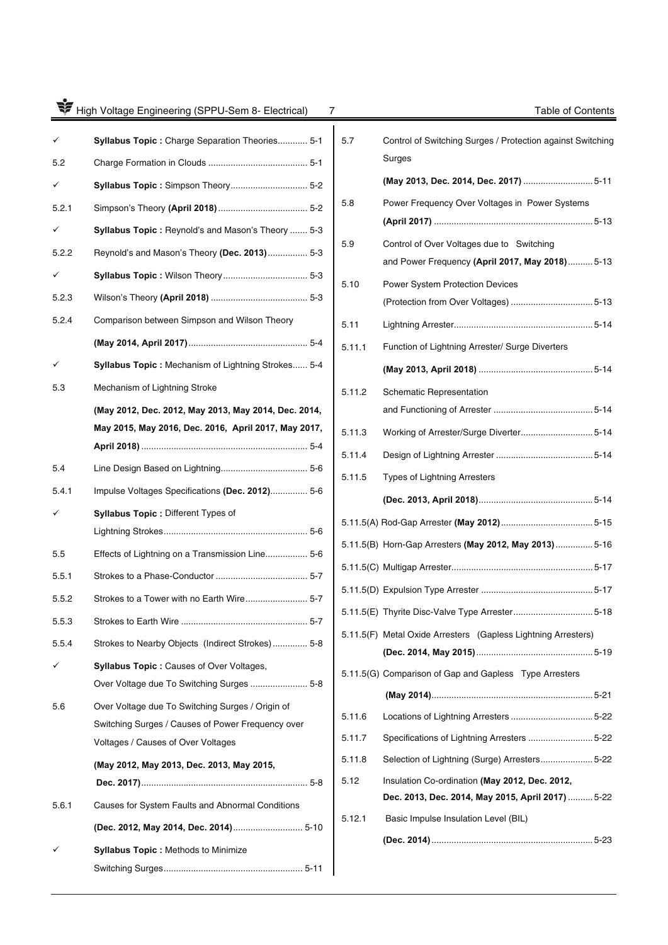| ₩     | High Voltage Engineering (SPPU-Sem 8- Electrical)<br>7 |        | Table of Contents                                             |
|-------|--------------------------------------------------------|--------|---------------------------------------------------------------|
|       | Syllabus Topic: Charge Separation Theories 5-1         | 5.7    | Control of Switching Surges / Protection against Switching    |
| 5.2   |                                                        |        | Surges                                                        |
|       | Syllabus Topic: Simpson Theory 5-2                     |        | (May 2013, Dec. 2014, Dec. 2017)  5-11                        |
| 5.2.1 |                                                        | 5.8    | Power Frequency Over Voltages in Power Systems                |
|       | Syllabus Topic: Reynold's and Mason's Theory  5-3      |        |                                                               |
| 5.2.2 | Reynold's and Mason's Theory (Dec. 2013)  5-3          | 5.9    | Control of Over Voltages due to Switching                     |
|       |                                                        |        | and Power Frequency (April 2017, May 2018)  5-13              |
| 5.2.3 |                                                        | 5.10   | <b>Power System Protection Devices</b>                        |
| 5.2.4 | Comparison between Simpson and Wilson Theory           |        |                                                               |
|       |                                                        | 5.11   |                                                               |
|       |                                                        | 5.11.1 | Function of Lightning Arrester/ Surge Diverters               |
| ✓     | Syllabus Topic: Mechanism of Lightning Strokes 5-4     |        |                                                               |
| 5.3   | Mechanism of Lightning Stroke                          | 5.11.2 | <b>Schematic Representation</b>                               |
|       | (May 2012, Dec. 2012, May 2013, May 2014, Dec. 2014,   |        |                                                               |
|       | May 2015, May 2016, Dec. 2016, April 2017, May 2017,   | 5.11.3 |                                                               |
|       |                                                        | 5.11.4 |                                                               |
| 5.4   |                                                        | 5.11.5 | <b>Types of Lightning Arresters</b>                           |
| 5.4.1 | Impulse Voltages Specifications (Dec. 2012) 5-6        |        |                                                               |
|       | Syllabus Topic: Different Types of                     |        |                                                               |
|       |                                                        |        |                                                               |
| 5.5   | Effects of Lightning on a Transmission Line 5-6        |        | 5.11.5(B) Horn-Gap Arresters (May 2012, May 2013) 5-16        |
| 5.5.1 |                                                        |        |                                                               |
| 5.5.2 | Strokes to a Tower with no Earth Wire 5-7              |        |                                                               |
| 5.5.3 |                                                        |        |                                                               |
| 5.5.4 | Strokes to Nearby Objects (Indirect Strokes) 5-8       |        | 5.11.5(F) Metal Oxide Arresters (Gapless Lightning Arresters) |
| ✓     | <b>Syllabus Topic: Causes of Over Voltages,</b>        |        |                                                               |
|       |                                                        |        | 5.11.5(G) Comparison of Gap and Gapless Type Arresters        |
| 5.6   | Over Voltage due To Switching Surges / Origin of       |        |                                                               |
|       | Switching Surges / Causes of Power Frequency over      | 5.11.6 |                                                               |
|       | Voltages / Causes of Over Voltages                     | 5.11.7 | Specifications of Lightning Arresters  5-22                   |
|       | (May 2012, May 2013, Dec. 2013, May 2015,              | 5.11.8 | Selection of Lightning (Surge) Arresters 5-22                 |
|       |                                                        | 5.12   | Insulation Co-ordination (May 2012, Dec. 2012,                |
| 5.6.1 | Causes for System Faults and Abnormal Conditions       |        | Dec. 2013, Dec. 2014, May 2015, April 2017)  5-22             |
|       | (Dec. 2012, May 2014, Dec. 2014) 5-10                  | 5.12.1 | Basic Impulse Insulation Level (BIL)                          |
|       | <b>Syllabus Topic: Methods to Minimize</b>             |        |                                                               |
|       |                                                        |        |                                                               |
|       |                                                        |        |                                                               |

| 5.7    |                                                                      |
|--------|----------------------------------------------------------------------|
|        | Control of Switching Surges / Protection against Switching<br>Surges |
|        |                                                                      |
| 5.8    | Power Frequency Over Voltages in Power Systems                       |
|        |                                                                      |
| 5.9    | Control of Over Voltages due to Switching                            |
|        | and Power Frequency (April 2017, May 2018) 5-13                      |
| 5.10   | Power System Protection Devices                                      |
|        |                                                                      |
| 5.11   |                                                                      |
| 5.11.1 | Function of Lightning Arrester/ Surge Diverters                      |
|        |                                                                      |
| 5.11.2 | <b>Schematic Representation</b>                                      |
|        |                                                                      |
| 5.11.3 |                                                                      |
| 5.11.4 |                                                                      |
| 5.11.5 | <b>Types of Lightning Arresters</b>                                  |
|        |                                                                      |
|        |                                                                      |
|        |                                                                      |
|        | 5.11.5(B) Horn-Gap Arresters (May 2012, May 2013) 5-16               |
|        |                                                                      |
|        |                                                                      |
|        |                                                                      |
|        | 5.11.5(F) Metal Oxide Arresters (Gapless Lightning Arresters)        |
|        |                                                                      |
|        | 5.11.5(G) Comparison of Gap and Gapless Type Arresters               |
|        |                                                                      |
| 5.11.6 |                                                                      |
| 5.11.7 | Specifications of Lightning Arresters 5-22                           |
| 5.11.8 | Selection of Lightning (Surge) Arresters 5-22                        |
| 5.12   | Insulation Co-ordination (May 2012, Dec. 2012,                       |
|        | Dec. 2013, Dec. 2014, May 2015, April 2017)  5-22                    |
| 5.12.1 | Basic Impulse Insulation Level (BIL)                                 |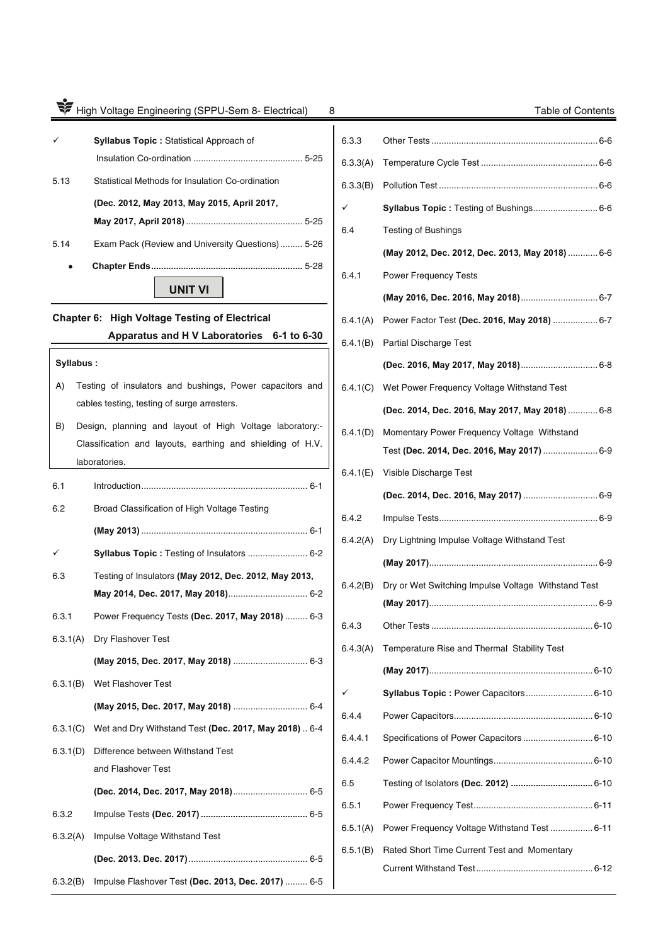# 75 High Voltage Engineering (SPPU-Sem 8- Electrical) 8 Table of Contents  $\checkmark$  **Syllabus Topic :** Statistical Approach of Insulation Co-ordination ............................................ 5-25 5.13 Statistical Methods for Insulation Co-ordination **(Dec. 2012, May 2013, May 2015, April 2017, May 2017, April 2018)** ............................................... 5-25 5.14 Exam Pack (Review and University Questions) ......... 5-26  **Chapter Ends .............................................................** 5-28 **UNIT VI Chapter 6: High Voltage Testing of Electrical Apparatus and H V Laboratories 6-1 to 6-30 Syllabus :** A) Testing of insulators and bushings, Power capacitors and cables testing, testing of surge arresters. B) Design, planning and layout of High Voltage laboratory:- Classification and layouts, earthing and shielding of H.V. laboratories. 6.1 Introduction ................................................................... 6-1 6.2 Broad Classification of High Voltage Testing **(May 2013)** ................................................................... 6-1 **Syllabus Topic :** Testing of Insulators ........................ 6-2  $\checkmark$ 6.3 Testing of Insulators **(May 2012, Dec. 2012, May 2013, May 2014, Dec. 2017, May 2018)**................................ 6-2 6.3.1 Power Frequency Tests **(Dec. 2017, May 2018)** ......... 6-3 6.3.1(A) Dry Flashover Test **(May 2015, Dec. 2017, May 2018)** .............................. 6-3 6.3.1(B) Wet Flashover Test **(May 2015, Dec. 2017, May 2018)** .............................. 6-4 6.3.1(C) Wet and Dry Withstand Test **(Dec. 2017, May 2018)** .. 6-4 6.3.1(D) Difference between Withstand Test and Flashover Test **(Dec. 2014, Dec. 2017, May 2018)** .............................. 6-5 6.3.2 Impulse Tests **(Dec. 2017) ...........................................** 6-5 6.3.2(A) Impulse Voltage Withstand Test **(Dec. 2013. Dec. 2017)** ................................................ 6-5

6.3.2(B) Impulse Flashover Test **(Dec. 2013, Dec. 2017)** ......... 6-5

| 6.3.3    |                                                     |
|----------|-----------------------------------------------------|
| 6.3.3(A) |                                                     |
| 6.3.3(B) |                                                     |
| ✓        | Syllabus Topic: Testing of Bushings 6-6             |
| 6.4      | <b>Testing of Bushings</b>                          |
|          | (May 2012, Dec. 2012, Dec. 2013, May 2018)  6-6     |
| 6.4.1    | <b>Power Frequency Tests</b>                        |
|          |                                                     |
| 6.4.1(A) | Power Factor Test (Dec. 2016, May 2018)  6-7        |
| 6.4.1(B) | <b>Partial Discharge Test</b>                       |
|          |                                                     |
| 6.4.1(C) | Wet Power Frequency Voltage Withstand Test          |
|          | (Dec. 2014, Dec. 2016, May 2017, May 2018)  6-8     |
| 6.4.1(D) | Momentary Power Frequency Voltage Withstand         |
|          | Test (Dec. 2014, Dec. 2016, May 2017)  6-9          |
| 6.4.1(E) | Visible Discharge Test                              |
|          |                                                     |
| 6.4.2    |                                                     |
| 6.4.2(A) | Dry Lightning Impulse Voltage Withstand Test        |
|          |                                                     |
| 6.4.2(B) | Dry or Wet Switching Impulse Voltage Withstand Test |
|          |                                                     |
| 6.4.3    |                                                     |
| 6.4.3(A) | Temperature Rise and Thermal Stability Test         |
|          |                                                     |
|          | Syllabus Topic: Power Capacitors 6-10               |
| 6.4.4    |                                                     |
| 6.4.4.1  |                                                     |
| 6.4.4.2  |                                                     |
| 6.5      |                                                     |
| 6.5.1    |                                                     |
| 6.5.1(A) | Power Frequency Voltage Withstand Test  6-11        |
| 6.5.1(B) | Rated Short Time Current Test and Momentary         |
|          |                                                     |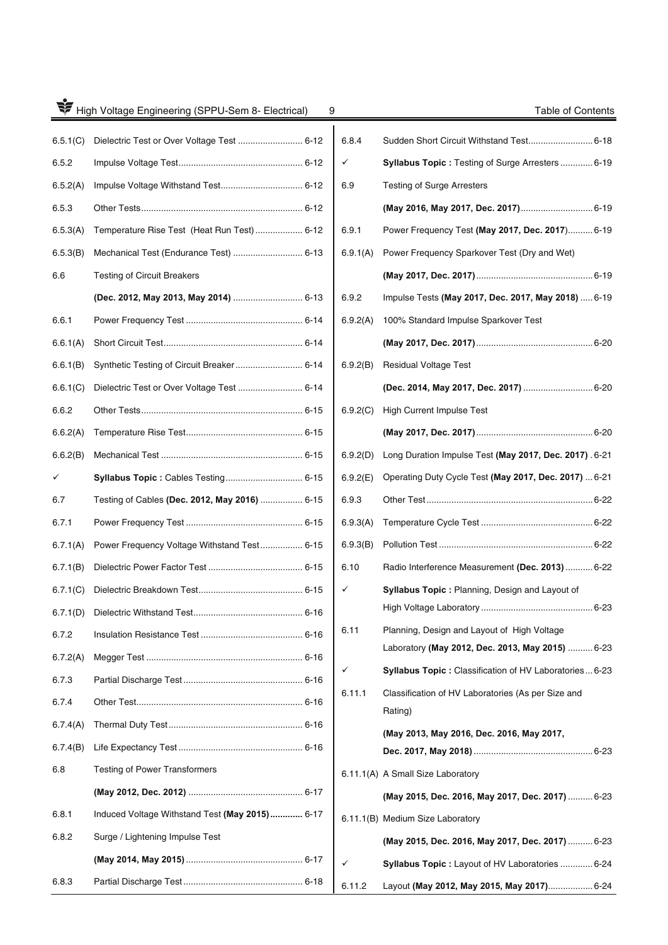| High Voltage Engineering (SPPU-Sem 8- Electrical)<br>9 |                                                |  |  |  |  |
|--------------------------------------------------------|------------------------------------------------|--|--|--|--|
| 6.5.1(C)                                               |                                                |  |  |  |  |
| 6.5.2                                                  |                                                |  |  |  |  |
| 6.5.2(A)                                               |                                                |  |  |  |  |
| 6.5.3                                                  |                                                |  |  |  |  |
| 6.5.3(A)                                               | Temperature Rise Test (Heat Run Test) 6-12     |  |  |  |  |
| 6.5.3(B)                                               | Mechanical Test (Endurance Test)  6-13         |  |  |  |  |
| 6.6                                                    | <b>Testing of Circuit Breakers</b>             |  |  |  |  |
|                                                        | (Dec. 2012, May 2013, May 2014)  6-13          |  |  |  |  |
| 6.6.1                                                  |                                                |  |  |  |  |
| 6.6.1(A)                                               |                                                |  |  |  |  |
| 6.6.1(B)                                               |                                                |  |  |  |  |
| 6.6.1(C)                                               | Dielectric Test or Over Voltage Test  6-14     |  |  |  |  |
| 6.6.2                                                  |                                                |  |  |  |  |
| 6.6.2(A)                                               |                                                |  |  |  |  |
| 6.6.2(B)                                               |                                                |  |  |  |  |
| ✓                                                      | Syllabus Topic: Cables Testing 6-15            |  |  |  |  |
| 6.7                                                    | Testing of Cables (Dec. 2012, May 2016)  6-15  |  |  |  |  |
| 6.7.1                                                  |                                                |  |  |  |  |
| 6.7.1(A)                                               | Power Frequency Voltage Withstand Test 6-15    |  |  |  |  |
| 6.7.1(B)                                               |                                                |  |  |  |  |
| 6.7.1(C)                                               |                                                |  |  |  |  |
| 6.7.1(D)                                               |                                                |  |  |  |  |
| 6.7.2                                                  |                                                |  |  |  |  |
| 6.7.2(A)                                               |                                                |  |  |  |  |
| 6.7.3                                                  |                                                |  |  |  |  |
| 6.7.4                                                  |                                                |  |  |  |  |
| 6.7.4(A)                                               |                                                |  |  |  |  |
| 6.7.4(B)                                               |                                                |  |  |  |  |
| 6.8                                                    | <b>Testing of Power Transformers</b>           |  |  |  |  |
|                                                        |                                                |  |  |  |  |
| 6.8.1                                                  | Induced Voltage Withstand Test (May 2015) 6-17 |  |  |  |  |
| 6.8.2                                                  | Surge / Lightening Impulse Test                |  |  |  |  |
|                                                        |                                                |  |  |  |  |
| 6.8.3                                                  |                                                |  |  |  |  |

| 9 |          | Table of Contents                                             |  |
|---|----------|---------------------------------------------------------------|--|
|   | 6.8.4    |                                                               |  |
|   | ✓        | <b>Syllabus Topic: Testing of Surge Arresters  6-19</b>       |  |
|   | 6.9      | Testing of Surge Arresters                                    |  |
|   |          |                                                               |  |
|   | 6.9.1    | Power Frequency Test (May 2017, Dec. 2017) 6-19               |  |
|   | 6.9.1(A) | Power Frequency Sparkover Test (Dry and Wet)                  |  |
|   |          |                                                               |  |
|   | 6.9.2    | Impulse Tests (May 2017, Dec. 2017, May 2018)  6-19           |  |
|   | 6.9.2(A) | 100% Standard Impulse Sparkover Test                          |  |
|   |          |                                                               |  |
|   | 6.9.2(B) | <b>Residual Voltage Test</b>                                  |  |
|   |          | (Dec. 2014, May 2017, Dec. 2017)  6-20                        |  |
|   | 6.9.2(C) | <b>High Current Impulse Test</b>                              |  |
|   |          |                                                               |  |
|   | 6.9.2(D) | Long Duration Impulse Test (May 2017, Dec. 2017) .6-21        |  |
|   | 6.9.2(E) | Operating Duty Cycle Test (May 2017, Dec. 2017)  6-21         |  |
|   | 6.9.3    |                                                               |  |
|   | 6.9.3(A) |                                                               |  |
|   | 6.9.3(B) |                                                               |  |
|   | 6.10     | Radio Interference Measurement (Dec. 2013)  6-22              |  |
|   |          | <b>Syllabus Topic: Planning, Design and Layout of</b>         |  |
|   |          |                                                               |  |
|   | 6.11     | Planning, Design and Layout of High Voltage                   |  |
|   |          | Laboratory (May 2012, Dec. 2013, May 2015)  6-23              |  |
|   |          | Syllabus Topic : Classification of HV Laboratories 6-23       |  |
|   | 6.11.1   | Classification of HV Laboratories (As per Size and<br>Rating) |  |
|   |          | (May 2013, May 2016, Dec. 2016, May 2017,                     |  |
|   |          |                                                               |  |
|   |          | 6.11.1(A) A Small Size Laboratory                             |  |
|   |          | (May 2015, Dec. 2016, May 2017, Dec. 2017)  6-23              |  |
|   |          | 6.11.1(B) Medium Size Laboratory                              |  |
|   |          | (May 2015, Dec. 2016, May 2017, Dec. 2017)  6-23              |  |
|   |          | Syllabus Topic : Layout of HV Laboratories  6-24              |  |
|   | 6.11.2   | Layout (May 2012, May 2015, May 2017) 6-24                    |  |